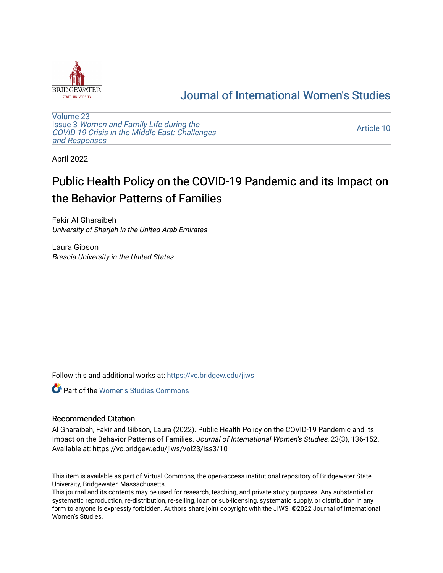

## [Journal of International Women's Studies](https://vc.bridgew.edu/jiws)

[Volume 23](https://vc.bridgew.edu/jiws/vol23) Issue 3 [Women and Family Life during the](https://vc.bridgew.edu/jiws/vol23/iss3)  [COVID 19 Crisis in the Middle East: Challenges](https://vc.bridgew.edu/jiws/vol23/iss3) [and Responses](https://vc.bridgew.edu/jiws/vol23/iss3) 

[Article 10](https://vc.bridgew.edu/jiws/vol23/iss3/10) 

April 2022

# Public Health Policy on the COVID-19 Pandemic and its Impact on the Behavior Patterns of Families

Fakir Al Gharaibeh University of Sharjah in the United Arab Emirates

Laura Gibson Brescia University in the United States

Follow this and additional works at: [https://vc.bridgew.edu/jiws](https://vc.bridgew.edu/jiws?utm_source=vc.bridgew.edu%2Fjiws%2Fvol23%2Fiss3%2F10&utm_medium=PDF&utm_campaign=PDFCoverPages)

Part of the [Women's Studies Commons](http://network.bepress.com/hgg/discipline/561?utm_source=vc.bridgew.edu%2Fjiws%2Fvol23%2Fiss3%2F10&utm_medium=PDF&utm_campaign=PDFCoverPages) 

## Recommended Citation

Al Gharaibeh, Fakir and Gibson, Laura (2022). Public Health Policy on the COVID-19 Pandemic and its Impact on the Behavior Patterns of Families. Journal of International Women's Studies, 23(3), 136-152. Available at: https://vc.bridgew.edu/jiws/vol23/iss3/10

This item is available as part of Virtual Commons, the open-access institutional repository of Bridgewater State University, Bridgewater, Massachusetts.

This journal and its contents may be used for research, teaching, and private study purposes. Any substantial or systematic reproduction, re-distribution, re-selling, loan or sub-licensing, systematic supply, or distribution in any form to anyone is expressly forbidden. Authors share joint copyright with the JIWS. ©2022 Journal of International Women's Studies.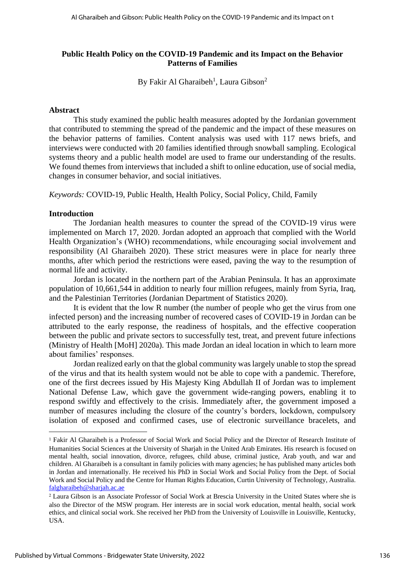## **Public Health Policy on the COVID-19 Pandemic and its Impact on the Behavior Patterns of Families**

By Fakir Al Gharaibeh<sup>1</sup>, Laura Gibson<sup>2</sup>

#### **Abstract**

This study examined the public health measures adopted by the Jordanian government that contributed to stemming the spread of the pandemic and the impact of these measures on the behavior patterns of families. Content analysis was used with 117 news briefs, and interviews were conducted with 20 families identified through snowball sampling. Ecological systems theory and a public health model are used to frame our understanding of the results. We found themes from interviews that included a shift to online education, use of social media, changes in consumer behavior, and social initiatives.

*Keywords:* COVID-19, Public Health, Health Policy, Social Policy, Child, Family

#### **Introduction**

The Jordanian health measures to counter the spread of the COVID-19 virus were implemented on March 17, 2020. Jordan adopted an approach that complied with the World Health Organization's (WHO) recommendations, while encouraging social involvement and responsibility (Al Gharaibeh 2020). These strict measures were in place for nearly three months, after which period the restrictions were eased, paving the way to the resumption of normal life and activity.

Jordan is located in the northern part of the Arabian Peninsula. It has an approximate population of 10,661,544 in addition to nearly four million refugees, mainly from Syria, Iraq, and the Palestinian Territories (Jordanian Department of Statistics 2020).

It is evident that the low R number (the number of people who get the virus from one infected person) and the increasing number of recovered cases of COVID-19 in Jordan can be attributed to the early response, the readiness of hospitals, and the effective cooperation between the public and private sectors to successfully test, treat, and prevent future infections (Ministry of Health [MoH] 2020a). This made Jordan an ideal location in which to learn more about families' responses.

Jordan realized early on that the global community was largely unable to stop the spread of the virus and that its health system would not be able to cope with a pandemic. Therefore, one of the first decrees issued by His Majesty King Abdullah II of Jordan was to implement National Defense Law, which gave the government wide-ranging powers, enabling it to respond swiftly and effectively to the crisis. Immediately after, the government imposed a number of measures including the closure of the country's borders, lockdown, compulsory isolation of exposed and confirmed cases, use of electronic surveillance bracelets, and

<sup>1</sup> Fakir Al Gharaibeh is a Professor of Social Work and Social Policy and the Director of Research Institute of Humanities Social Sciences at the University of Sharjah in the United Arab Emirates. His research is focused on mental health, social innovation, divorce, refugees, child abuse, criminal justice, Arab youth, and war and children. Al Gharaibeh is a consultant in family policies with many agencies; he has published many articles both in Jordan and internationally. He received his PhD in Social Work and Social Policy from the Dept. of Social Work and Social Policy and the Centre for Human Rights Education, Curtin University of Technology, Australia. [falgharaibeh@sharjah.ac.ae](mailto:falgharaibeh@sharjah.ac.ae)

<sup>2</sup> Laura Gibson is an Associate Professor of Social Work at Brescia University in the United States where she is also the Director of the MSW program. Her interests are in social work education, mental health, social work ethics, and clinical social work. She received her PhD from the University of Louisville in Louisville, Kentucky, USA.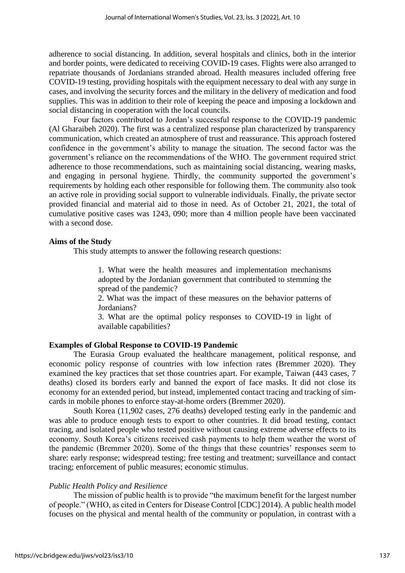adherence to social distancing. In addition, several hospitals and clinics, both in the interior and border points, were dedicated to receiving COVID-19 cases. Flights were also arranged to repatriate thousands of Jordanians stranded abroad. Health measures included offering free COVID-19 testing, providing hospitals with the equipment necessary to deal with any surge in cases, and involving the security forces and the military in the delivery of medication and food supplies. This was in addition to their role of keeping the peace and imposing a lockdown and social distancing in cooperation with the local councils.

Four factors contributed to Jordan's successful response to the COVID-19 pandemic (Al Gharaibeh 2020). The first was a centralized response plan characterized by transparency communication, which created an atmosphere of trust and reassurance. This approach fostered confidence in the government's ability to manage the situation. The second factor was the government's reliance on the recommendations of the WHO. The government required strict adherence to those recommendations, such as maintaining social distancing, wearing masks, and engaging in personal hygiene. Thirdly, the community supported the government's requirements by holding each other responsible for following them. The community also took an active role in providing social support to vulnerable individuals. Finally, the private sector provided financial and material aid to those in need. As of October 21, 2021, the total of cumulative positive cases was 1243, 090; more than 4 million people have been vaccinated with a second dose.

## **Aims of the Study**

This study attempts to answer the following research questions:

1. What were the health measures and implementation mechanisms adopted by the Jordanian government that contributed to stemming the spread of the pandemic?

2. What was the impact of these measures on the behavior patterns of Jordanians?

3. What are the optimal policy responses to COVID-19 in light of available capabilities?

#### **Examples of Global Response to COVID-19 Pandemic**

The Eurasia Group evaluated the healthcare management, political response, and economic policy response of countries with low infection rates (Bremmer 2020). They examined the key practices that set those countries apart. For example, Taiwan (443 cases, 7 deaths) closed its borders early and banned the export of face masks. It did not close its economy for an extended period, but instead, implemented contact tracing and tracking of simcards in mobile phones to enforce stay-at-home orders (Bremmer 2020).

South Korea (11,902 cases, 276 deaths) developed testing early in the pandemic and was able to produce enough tests to export to other countries. It did broad testing, contact tracing, and isolated people who tested positive without causing extreme adverse effects to its economy. South Korea's citizens received cash payments to help them weather the worst of the pandemic (Bremmer 2020). Some of the things that these countries' responses seem to share: early response; widespread testing; free testing and treatment; surveillance and contact tracing; enforcement of public measures; economic stimulus.

#### *Public Health Policy and Resilience*

The mission of public health is to provide "the maximum benefit for the largest number of people." (WHO, as cited in Centers for Disease Control [CDC] 2014). A public health model focuses on the physical and mental health of the community or population, in contrast with a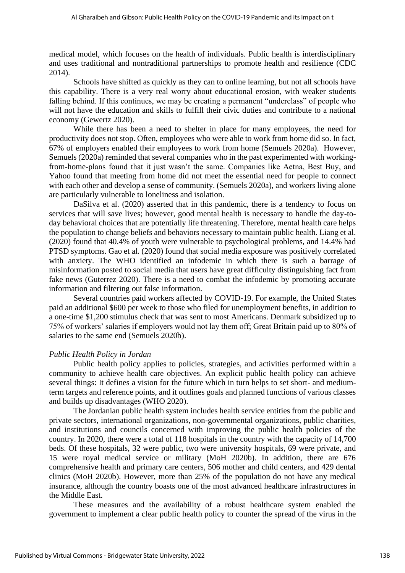medical model, which focuses on the health of individuals. Public health is interdisciplinary and uses traditional and nontraditional partnerships to promote health and resilience (CDC 2014).

Schools have shifted as quickly as they can to online learning, but not all schools have this capability. There is a very real worry about educational erosion, with weaker students falling behind. If this continues, we may be creating a permanent "underclass" of people who will not have the education and skills to fulfill their civic duties and contribute to a national economy (Gewertz 2020).

While there has been a need to shelter in place for many employees, the need for productivity does not stop. Often, employees who were able to work from home did so. In fact, 67% of employers enabled their employees to work from home (Semuels 2020a). However, Semuels (2020a) reminded that several companies who in the past experimented with workingfrom-home-plans found that it just wasn't the same. Companies like Aetna, Best Buy, and Yahoo found that meeting from home did not meet the essential need for people to connect with each other and develop a sense of community. (Semuels 2020a), and workers living alone are particularly vulnerable to loneliness and isolation.

DaSilva et al. (2020) asserted that in this pandemic, there is a tendency to focus on services that will save lives; however, good mental health is necessary to handle the day-today behavioral choices that are potentially life threatening. Therefore, mental health care helps the population to change beliefs and behaviors necessary to maintain public health. Liang et al. (2020) found that 40.4% of youth were vulnerable to psychological problems, and 14.4% had PTSD symptoms. Gao et al. (2020) found that social media exposure was positively correlated with anxiety. The WHO identified an infodemic in which there is such a barrage of misinformation posted to social media that users have great difficulty distinguishing fact from fake news (Guterrez 2020). There is a need to combat the infodemic by promoting accurate information and filtering out false information.

Several countries paid workers affected by COVID-19. For example, the United States paid an additional \$600 per week to those who filed for unemployment benefits, in addition to a one-time \$1,200 stimulus check that was sent to most Americans. Denmark subsidized up to 75% of workers' salaries if employers would not lay them off; Great Britain paid up to 80% of salaries to the same end (Semuels 2020b).

#### *Public Health Policy in Jordan*

Public health policy applies to policies, strategies, and activities performed within a community to achieve health care objectives. An explicit public health policy can achieve several things: It defines a vision for the future which in turn helps to set short- and mediumterm targets and reference points, and it outlines goals and planned functions of various classes and builds up disadvantages (WHO 2020).

The Jordanian public health system includes health service entities from the public and private sectors, international organizations, non-governmental organizations, public charities, and institutions and councils concerned with improving the public health policies of the country. In 2020, there were a total of 118 hospitals in the country with the capacity of 14,700 beds. Of these hospitals, 32 were public, two were university hospitals, 69 were private, and 15 were royal medical service or military (MoH 2020b). In addition, there are 676 comprehensive health and primary care centers, 506 mother and child centers, and 429 dental clinics (MoH 2020b). However, more than 25% of the population do not have any medical insurance, although the country boasts one of the most advanced healthcare infrastructures in the Middle East.

These measures and the availability of a robust healthcare system enabled the government to implement a clear public health policy to counter the spread of the virus in the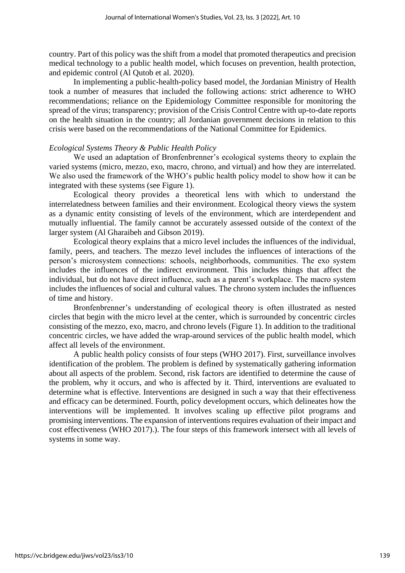country. Part of this policy was the shift from a model that promoted therapeutics and precision medical technology to a public health model, which focuses on prevention, health protection, and epidemic control (Al Qutob et al. 2020).

In implementing a public-health-policy based model, the Jordanian Ministry of Health took a number of measures that included the following actions: strict adherence to WHO recommendations; reliance on the Epidemiology Committee responsible for monitoring the spread of the virus; transparency; provision of the Crisis Control Centre with up-to-date reports on the health situation in the country; all Jordanian government decisions in relation to this crisis were based on the recommendations of the National Committee for Epidemics.

## *Ecological Systems Theory & Public Health Policy*

We used an adaptation of Bronfenbrenner's ecological systems theory to explain the varied systems (micro, mezzo, exo, macro, chrono, and virtual) and how they are interrelated. We also used the framework of the WHO's public health policy model to show how it can be integrated with these systems (see Figure 1).

Ecological theory provides a theoretical lens with which to understand the interrelatedness between families and their environment. Ecological theory views the system as a dynamic entity consisting of levels of the environment, which are interdependent and mutually influential. The family cannot be accurately assessed outside of the context of the larger system (Al Gharaibeh and Gibson 2019).

Ecological theory explains that a micro level includes the influences of the individual, family, peers, and teachers. The mezzo level includes the influences of interactions of the person's microsystem connections: schools, neighborhoods, communities. The exo system includes the influences of the indirect environment. This includes things that affect the individual, but do not have direct influence, such as a parent's workplace. The macro system includes the influences of social and cultural values. The chrono system includes the influences of time and history.

Bronfenbrenner's understanding of ecological theory is often illustrated as nested circles that begin with the micro level at the center, which is surrounded by concentric circles consisting of the mezzo, exo, macro, and chrono levels (Figure 1). In addition to the traditional concentric circles, we have added the wrap-around services of the public health model, which affect all levels of the environment.

A public health policy consists of four steps (WHO 2017). First, surveillance involves identification of the problem. The problem is defined by systematically gathering information about all aspects of the problem. Second, risk factors are identified to determine the cause of the problem, why it occurs, and who is affected by it. Third, interventions are evaluated to determine what is effective. Interventions are designed in such a way that their effectiveness and efficacy can be determined. Fourth, policy development occurs, which delineates how the interventions will be implemented. It involves scaling up effective pilot programs and promising interventions. The expansion of interventions requires evaluation of their impact and cost effectiveness (WHO 2017).). The four steps of this framework intersect with all levels of systems in some way.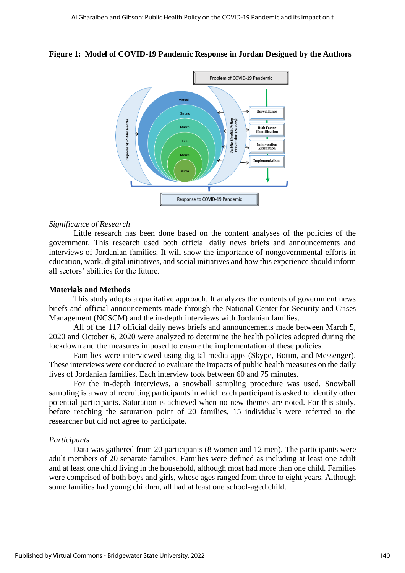

#### **Figure 1:****Model of COVID-19 Pandemic Response in Jordan Designed by the Authors**

## *Significance of Research*

Little research has been done based on the content analyses of the policies of the government. This research used both official daily news briefs and announcements and interviews of Jordanian families. It will show the importance of nongovernmental efforts in education, work, digital initiatives, and social initiatives and how this experience should inform all sectors' abilities for the future.

#### **Materials and Methods**

This study adopts a qualitative approach. It analyzes the contents of government news briefs and official announcements made through the National Center for Security and Crises Management (NCSCM) and the in-depth interviews with Jordanian families.

All of the 117 official daily news briefs and announcements made between March 5, 2020 and October 6, 2020 were analyzed to determine the health policies adopted during the lockdown and the measures imposed to ensure the implementation of these policies.

Families were interviewed using digital media apps (Skype, Botim, and Messenger). These interviews were conducted to evaluate the impacts of public health measures on the daily lives of Jordanian families. Each interview took between 60 and 75 minutes.

For the in-depth interviews, a snowball sampling procedure was used. Snowball sampling is a way of recruiting participants in which each participant is asked to identify other potential participants. Saturation is achieved when no new themes are noted. For this study, before reaching the saturation point of 20 families, 15 individuals were referred to the researcher but did not agree to participate.

#### *Participants*

Data was gathered from 20 participants (8 women and 12 men). The participants were adult members of 20 separate families. Families were defined as including at least one adult and at least one child living in the household, although most had more than one child. Families were comprised of both boys and girls, whose ages ranged from three to eight years. Although some families had young children, all had at least one school-aged child.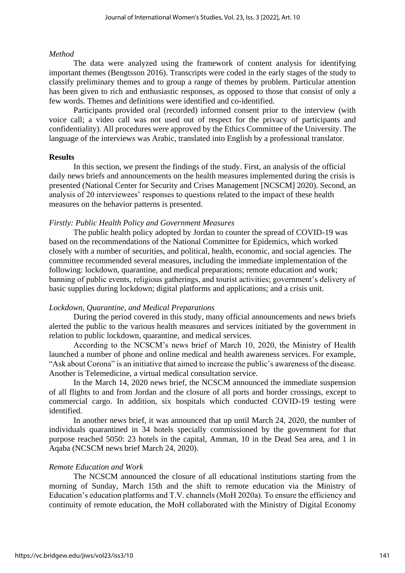## *Method*

The data were analyzed using the framework of content analysis for identifying important themes (Bengtsson 2016). Transcripts were coded in the early stages of the study to classify preliminary themes and to group a range of themes by problem. Particular attention has been given to rich and enthusiastic responses, as opposed to those that consist of only a few words. Themes and definitions were identified and co-identified.

Participants provided oral (recorded) informed consent prior to the interview (with voice call; a video call was not used out of respect for the privacy of participants and confidentiality). All procedures were approved by the Ethics Committee of the University. The language of the interviews was Arabic, translated into English by a professional translator.

## **Results**

In this section, we present the findings of the study. First, an analysis of the official daily news briefs and announcements on the health measures implemented during the crisis is presented (National Center for Security and Crises Management [NCSCM] 2020). Second, an analysis of 20 interviewees' responses to questions related to the impact of these health measures on the behavior patterns is presented.

## *Firstly: Public Health Policy and Government Measures*

The public health policy adopted by Jordan to counter the spread of COVID-19 was based on the recommendations of the National Committee for Epidemics, which worked closely with a number of securities, and political, health, economic, and social agencies. The committee recommended several measures, including the immediate implementation of the following: lockdown, quarantine, and medical preparations; remote education and work; banning of public events, religious gatherings, and tourist activities; government's delivery of basic supplies during lockdown; digital platforms and applications; and a crisis unit.

## *Lockdown, Quarantine, and Medical Preparations*

During the period covered in this study, many official announcements and news briefs alerted the public to the various health measures and services initiated by the government in relation to public lockdown, quarantine, and medical services.

According to the NCSCM's news brief of March 10, 2020, the Ministry of Health launched a number of phone and online medical and health awareness services. For example, "Ask about Corona" is an initiative that aimed to increase the public's awareness of the disease. Another is Telemedicine, a virtual medical consultation service.

In the March 14, 2020 news brief, the NCSCM announced the immediate suspension of all flights to and from Jordan and the closure of all ports and border crossings, except to commercial cargo. In addition, six hospitals which conducted COVID-19 testing were identified.

In another news brief, it was announced that up until March 24, 2020, the number of individuals quarantined in 34 hotels specially commissioned by the government for that purpose reached 5050: 23 hotels in the capital, Amman, 10 in the Dead Sea area, and 1 in Aqaba (NCSCM news brief March 24, 2020).

## *Remote Education and Work*

The NCSCM announced the closure of all educational institutions starting from the morning of Sunday, March 15th and the shift to remote education via the Ministry of Education's education platforms and T.V. channels (MoH 2020a). To ensure the efficiency and continuity of remote education, the MoH collaborated with the Ministry of Digital Economy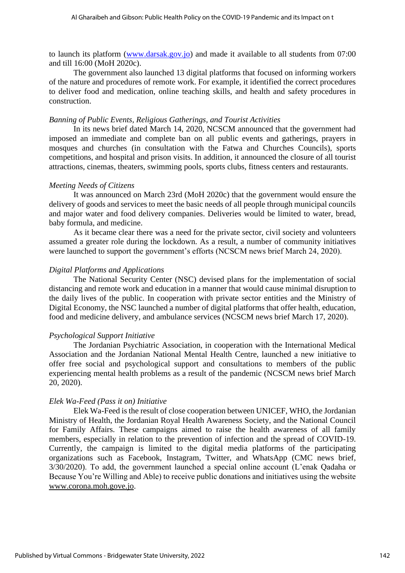to launch its platform [\(www.darsak.gov.jo\)](http://www.darsak.gov.jo/) and made it available to all students from 07:00 and till 16:00 (MoH 2020c).

The government also launched 13 digital platforms that focused on informing workers of the nature and procedures of remote work. For example, it identified the correct procedures to deliver food and medication, online teaching skills, and health and safety procedures in construction.

#### *Banning of Public Events, Religious Gatherings, and Tourist Activities*

In its news brief dated March 14, 2020, NCSCM announced that the government had imposed an immediate and complete ban on all public events and gatherings, prayers in mosques and churches (in consultation with the Fatwa and Churches Councils), sports competitions, and hospital and prison visits. In addition, it announced the closure of all tourist attractions, cinemas, theaters, swimming pools, sports clubs, fitness centers and restaurants.

#### *Meeting Needs of Citizens*

It was announced on March 23rd (MoH 2020c) that the government would ensure the delivery of goods and services to meet the basic needs of all people through municipal councils and major water and food delivery companies. Deliveries would be limited to water, bread, baby formula, and medicine.

As it became clear there was a need for the private sector, civil society and volunteers assumed a greater role during the lockdown. As a result, a number of community initiatives were launched to support the government's efforts (NCSCM news brief March 24, 2020).

#### *Digital Platforms and Applications*

The National Security Center (NSC) devised plans for the implementation of social distancing and remote work and education in a manner that would cause minimal disruption to the daily lives of the public. In cooperation with private sector entities and the Ministry of Digital Economy, the NSC launched a number of digital platforms that offer health, education, food and medicine delivery, and ambulance services (NCSCM news brief March 17, 2020).

#### *Psychological Support Initiative*

The Jordanian Psychiatric Association, in cooperation with the International Medical Association and the Jordanian National Mental Health Centre, launched a new initiative to offer free social and psychological support and consultations to members of the public experiencing mental health problems as a result of the pandemic (NCSCM news brief March 20, 2020).

#### *Elek Wa-Feed (Pass it on) Initiative*

Elek Wa-Feed is the result of close cooperation between UNICEF, WHO, the Jordanian Ministry of Health, the Jordanian Royal Health Awareness Society, and the National Council for Family Affairs. These campaigns aimed to raise the health awareness of all family members, especially in relation to the prevention of infection and the spread of COVID-19. Currently, the campaign is limited to the digital media platforms of the participating organizations such as Facebook, Instagram, Twitter, and WhatsApp (CMC news brief, 3/30/2020). To add, the government launched a special online account (L'enak Qadaha or Because You're Willing and Able) to receive public donations and initiatives using the website [www.corona.moh.gove.jo.](http://www.corona.moh.gove.jo/)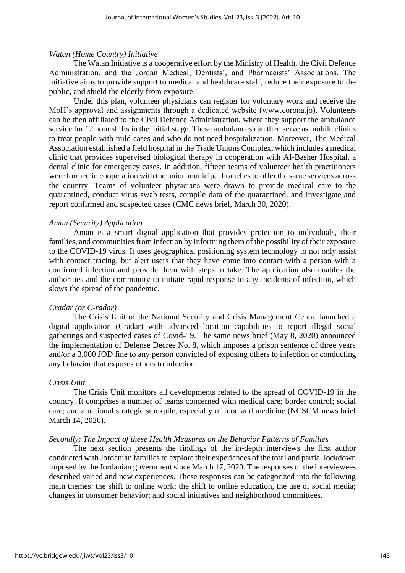## *Watan (Home Country) Initiative*

The Watan Initiative is a cooperative effort by the Ministry of Health, the Civil Defence Administration, and the Jordan Medical, Dentists', and Pharmacists' Associations. The initiative aims to provide support to medical and healthcare staff, reduce their exposure to the public, and shield the elderly from exposure.

Under this plan, volunteer physicians can register for voluntary work and receive the MoH's approval and assignments through a dedicated website [\(www.corona.jo\)](http://www.corona.jo/). Volunteers can be then affiliated to the Civil Defence Administration, where they support the ambulance service for 12 hour shifts in the initial stage. These ambulances can then serve as mobile clinics to treat people with mild cases and who do not need hospitalization. Moreover, The Medical Association established a field hospital in the Trade Unions Complex, which includes a medical clinic that provides supervised biological therapy in cooperation with Al-Basher Hospital, a dental clinic for emergency cases. In addition, fifteen teams of volunteer health practitioners were formed in cooperation with the union municipal branches to offer the same services across the country. Teams of volunteer physicians were drawn to provide medical care to the quarantined, conduct virus swab tests, compile data of the quarantined, and investigate and report confirmed and suspected cases (CMC news brief, March 30, 2020).

## *Aman (Security) Application*

Aman is a smart digital application that provides protection to individuals, their families, and communities from infection by informing them of the possibility of their exposure to the COVID-19 virus. It uses geographical positioning system technology to not only assist with contact tracing, but alert users that they have come into contact with a person with a confirmed infection and provide them with steps to take. The application also enables the authorities and the community to initiate rapid response to any incidents of infection, which slows the spread of the pandemic.

## *Cradar (or C-radar)*

The Crisis Unit of the National Security and Crisis Management Centre launched a digital application (Cradar) with advanced location capabilities to report illegal social gatherings and suspected cases of Covid-19. The same news brief (May 8, 2020) announced the implementation of Defense Decree No. 8, which imposes a prison sentence of three years and/or a 3,000 JOD fine to any person convicted of exposing others to infection or conducting any behavior that exposes others to infection.

#### *Crisis Unit*

The Crisis Unit monitors all developments related to the spread of COVID-19 in the country. It comprises a number of teams concerned with medical care; border control; social care; and a national strategic stockpile, especially of food and medicine (NCSCM news brief March 14, 2020).

## *Secondly: The Impact of these Health Measures on the Behavior Patterns of Families*

The next section presents the findings of the in-depth interviews the first author conducted with Jordanian families to explore their experiences of the total and partial lockdown imposed by the Jordanian government since March 17, 2020. The responses of the interviewees described varied and new experiences. These responses can be categorized into the following main themes: the shift to online work; the shift to online education, the use of social media; changes in consumer behavior; and social initiatives and neighborhood committees.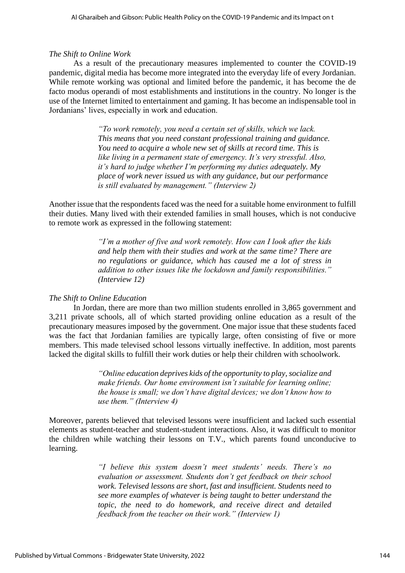## *The Shift to Online Work*

As a result of the precautionary measures implemented to counter the COVID-19 pandemic, digital media has become more integrated into the everyday life of every Jordanian. While remote working was optional and limited before the pandemic, it has become the de facto modus operandi of most establishments and institutions in the country. No longer is the use of the Internet limited to entertainment and gaming. It has become an indispensable tool in Jordanians' lives, especially in work and education.

> *"To work remotely, you need a certain set of skills, which we lack. This means that you need constant professional training and guidance. You need to acquire a whole new set of skills at record time. This is like living in a permanent state of emergency. It's very stressful. Also, it's hard to judge whether I'm performing my duties adequately. My place of work never issued us with any guidance, but our performance is still evaluated by management." (Interview 2)*

Another issue that the respondents faced was the need for a suitable home environment to fulfill their duties. Many lived with their extended families in small houses, which is not conducive to remote work as expressed in the following statement:

> *"I'm a mother of five and work remotely. How can I look after the kids and help them with their studies and work at the same time? There are no regulations or guidance, which has caused me a lot of stress in addition to other issues like the lockdown and family responsibilities." (Interview 12)*

## *The Shift to Online Education*

In Jordan, there are more than two million students enrolled in 3,865 government and 3,211 private schools, all of which started providing online education as a result of the precautionary measures imposed by the government. One major issue that these students faced was the fact that Jordanian families are typically large, often consisting of five or more members. This made televised school lessons virtually ineffective. In addition, most parents lacked the digital skills to fulfill their work duties or help their children with schoolwork.

> *"Online education deprives kids of the opportunity to play, socialize and make friends. Our home environment isn't suitable for learning online; the house is small; we don't have digital devices; we don't know how to use them." (Interview 4)*

Moreover, parents believed that televised lessons were insufficient and lacked such essential elements as student-teacher and student-student interactions. Also, it was difficult to monitor the children while watching their lessons on T.V., which parents found unconducive to learning.

> *"I believe this system doesn't meet students' needs. There's no evaluation or assessment. Students don't get feedback on their school work. Televised lessons are short, fast and insufficient. Students need to see more examples of whatever is being taught to better understand the topic, the need to do homework, and receive direct and detailed feedback from the teacher on their work." (Interview 1)*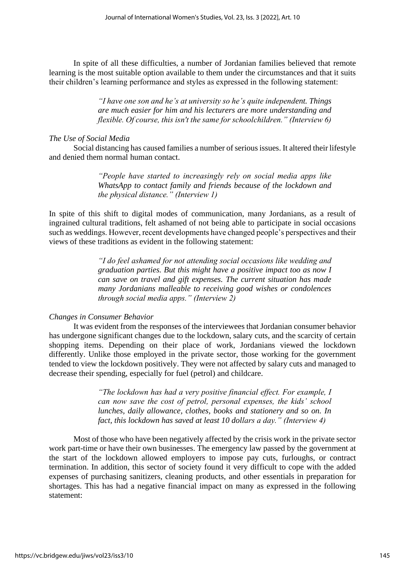In spite of all these difficulties, a number of Jordanian families believed that remote learning is the most suitable option available to them under the circumstances and that it suits their children's learning performance and styles as expressed in the following statement:

> *"I have one son and he's at university so he's quite independent. Things are much easier for him and his lecturers are more understanding and flexible. Of course, this isn't the same for schoolchildren." (Interview 6)*

## *The Use of Social Media*

Social distancing has caused families a number of serious issues. It altered their lifestyle and denied them normal human contact.

> *"People have started to increasingly rely on social media apps like WhatsApp to contact family and friends because of the lockdown and the physical distance." (Interview 1)*

In spite of this shift to digital modes of communication, many Jordanians, as a result of ingrained cultural traditions, felt ashamed of not being able to participate in social occasions such as weddings. However, recent developments have changed people's perspectives and their views of these traditions as evident in the following statement:

> *"I do feel ashamed for not attending social occasions like wedding and graduation parties. But this might have a positive impact too as now I can save on travel and gift expenses. The current situation has made many Jordanians malleable to receiving good wishes or condolences through social media apps." (Interview 2)*

#### *Changes in Consumer Behavior*

It was evident from the responses of the interviewees that Jordanian consumer behavior has undergone significant changes due to the lockdown, salary cuts, and the scarcity of certain shopping items. Depending on their place of work, Jordanians viewed the lockdown differently. Unlike those employed in the private sector, those working for the government tended to view the lockdown positively. They were not affected by salary cuts and managed to decrease their spending, especially for fuel (petrol) and childcare.

> *"The lockdown has had a very positive financial effect. For example, I can now save the cost of petrol, personal expenses, the kids' school lunches, daily allowance, clothes, books and stationery and so on. In fact, this lockdown has saved at least 10 dollars a day." (Interview 4)*

Most of those who have been negatively affected by the crisis work in the private sector work part-time or have their own businesses. The emergency law passed by the government at the start of the lockdown allowed employers to impose pay cuts, furloughs, or contract termination. In addition, this sector of society found it very difficult to cope with the added expenses of purchasing sanitizers, cleaning products, and other essentials in preparation for shortages. This has had a negative financial impact on many as expressed in the following statement: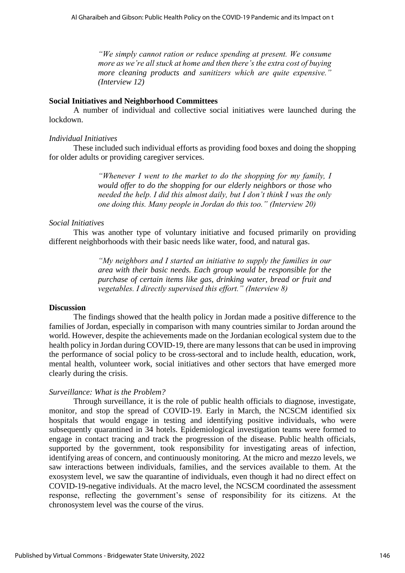*"We simply cannot ration or reduce spending at present. We consume more as we're all stuck at home and then there's the extra cost of buying more cleaning products and sanitizers which are quite expensive." (Interview 12)*

## **Social Initiatives and Neighborhood Committees**

A number of individual and collective social initiatives were launched during the lockdown.

## *Individual Initiatives*

These included such individual efforts as providing food boxes and doing the shopping for older adults or providing caregiver services.

> *"Whenever I went to the market to do the shopping for my family, I would offer to do the shopping for our elderly neighbors or those who needed the help. I did this almost daily, but I don't think I was the only one doing this. Many people in Jordan do this too." (Interview 20)*

## *Social Initiatives*

This was another type of voluntary initiative and focused primarily on providing different neighborhoods with their basic needs like water, food, and natural gas.

> *"My neighbors and I started an initiative to supply the families in our area with their basic needs. Each group would be responsible for the purchase of certain items like gas, drinking water, bread or fruit and vegetables. I directly supervised this effort." (Interview 8)*

#### **Discussion**

The findings showed that the health policy in Jordan made a positive difference to the families of Jordan, especially in comparison with many countries similar to Jordan around the world. However, despite the achievements made on the Jordanian ecological system due to the health policy in Jordan during COVID-19, there are many lessons that can be used in improving the performance of social policy to be cross-sectoral and to include health, education, work, mental health, volunteer work, social initiatives and other sectors that have emerged more clearly during the crisis.

## *Surveillance: What is the Problem?*

Through surveillance, it is the role of public health officials to diagnose, investigate, monitor, and stop the spread of COVID-19. Early in March, the NCSCM identified six hospitals that would engage in testing and identifying positive individuals, who were subsequently quarantined in 34 hotels. Epidemiological investigation teams were formed to engage in contact tracing and track the progression of the disease. Public health officials, supported by the government, took responsibility for investigating areas of infection, identifying areas of concern, and continuously monitoring. At the micro and mezzo levels, we saw interactions between individuals, families, and the services available to them. At the exosystem level, we saw the quarantine of individuals, even though it had no direct effect on COVID-19-negative individuals. At the macro level, the NCSCM coordinated the assessment response, reflecting the government's sense of responsibility for its citizens. At the chronosystem level was the course of the virus.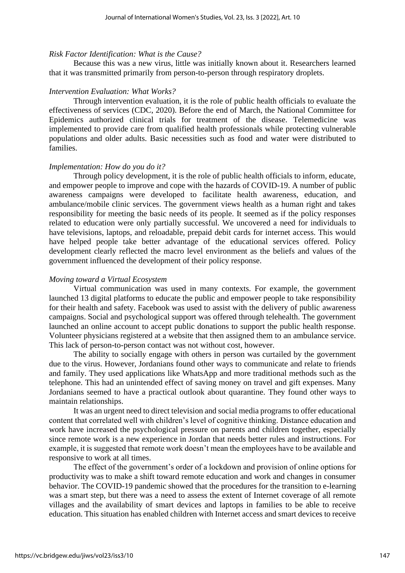## *Risk Factor Identification: What is the Cause?*

Because this was a new virus, little was initially known about it. Researchers learned that it was transmitted primarily from person-to-person through respiratory droplets.

## *Intervention Evaluation: What Works?*

Through intervention evaluation, it is the role of public health officials to evaluate the effectiveness of services (CDC, 2020). Before the end of March, the National Committee for Epidemics authorized clinical trials for treatment of the disease. Telemedicine was implemented to provide care from qualified health professionals while protecting vulnerable populations and older adults. Basic necessities such as food and water were distributed to families.

## *Implementation: How do you do it?*

Through policy development, it is the role of public health officials to inform, educate, and empower people to improve and cope with the hazards of COVID-19. A number of public awareness campaigns were developed to facilitate health awareness, education, and ambulance/mobile clinic services. The government views health as a human right and takes responsibility for meeting the basic needs of its people. It seemed as if the policy responses related to education were only partially successful. We uncovered a need for individuals to have televisions, laptops, and reloadable, prepaid debit cards for internet access. This would have helped people take better advantage of the educational services offered. Policy development clearly reflected the macro level environment as the beliefs and values of the government influenced the development of their policy response.

## *Moving toward a Virtual Ecosystem*

Virtual communication was used in many contexts. For example, the government launched 13 digital platforms to educate the public and empower people to take responsibility for their health and safety. Facebook was used to assist with the delivery of public awareness campaigns. Social and psychological support was offered through telehealth. The government launched an online account to accept public donations to support the public health response. Volunteer physicians registered at a website that then assigned them to an ambulance service. This lack of person-to-person contact was not without cost, however.

The ability to socially engage with others in person was curtailed by the government due to the virus. However, Jordanians found other ways to communicate and relate to friends and family. They used applications like WhatsApp and more traditional methods such as the telephone. This had an unintended effect of saving money on travel and gift expenses. Many Jordanians seemed to have a practical outlook about quarantine. They found other ways to maintain relationships.

It was an urgent need to direct television and social media programs to offer educational content that correlated well with children's level of cognitive thinking. Distance education and work have increased the psychological pressure on parents and children together, especially since remote work is a new experience in Jordan that needs better rules and instructions. For example, it is suggested that remote work doesn't mean the employees have to be available and responsive to work at all times.

The effect of the government's order of a lockdown and provision of online options for productivity was to make a shift toward remote education and work and changes in consumer behavior. The COVID-19 pandemic showed that the procedures for the transition to e-learning was a smart step, but there was a need to assess the extent of Internet coverage of all remote villages and the availability of smart devices and laptops in families to be able to receive education. This situation has enabled children with Internet access and smart devices to receive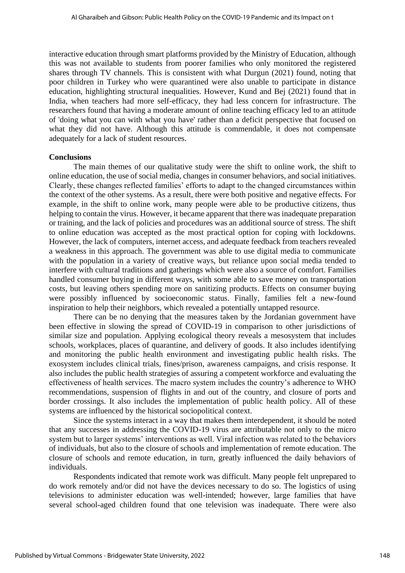interactive education through smart platforms provided by the Ministry of Education, although this was not available to students from poorer families who only monitored the registered shares through TV channels. This is consistent with what Durgun (2021) found, noting that poor children in Turkey who were quarantined were also unable to participate in distance education, highlighting structural inequalities. However, Kund and Bej (2021) found that in India, when teachers had more self-efficacy, they had less concern for infrastructure. The researchers found that having a moderate amount of online teaching efficacy led to an attitude of 'doing what you can with what you have' rather than a deficit perspective that focused on what they did not have. Although this attitude is commendable, it does not compensate adequately for a lack of student resources.

#### **Conclusions**

The main themes of our qualitative study were the shift to online work, the shift to online education, the use of social media, changes in consumer behaviors, and social initiatives. Clearly, these changes reflected families' efforts to adapt to the changed circumstances within the context of the other systems. As a result, there were both positive and negative effects. For example, in the shift to online work, many people were able to be productive citizens, thus helping to contain the virus. However, it became apparent that there was inadequate preparation or training, and the lack of policies and procedures was an additional source of stress. The shift to online education was accepted as the most practical option for coping with lockdowns. However, the lack of computers, internet access, and adequate feedback from teachers revealed a weakness in this approach. The government was able to use digital media to communicate with the population in a variety of creative ways, but reliance upon social media tended to interfere with cultural traditions and gatherings which were also a source of comfort. Families handled consumer buying in different ways, with some able to save money on transportation costs, but leaving others spending more on sanitizing products. Effects on consumer buying were possibly influenced by socioeconomic status. Finally, families felt a new-found inspiration to help their neighbors, which revealed a potentially untapped resource.

There can be no denying that the measures taken by the Jordanian government have been effective in slowing the spread of COVID-19 in comparison to other jurisdictions of similar size and population. Applying ecological theory reveals a mesosystem that includes schools, workplaces, places of quarantine, and delivery of goods. It also includes identifying and monitoring the public health environment and investigating public health risks. The exosystem includes clinical trials, fines/prison, awareness campaigns, and crisis response. It also includes the public health strategies of assuring a competent workforce and evaluating the effectiveness of health services. The macro system includes the country's adherence to WHO recommendations, suspension of flights in and out of the country, and closure of ports and border crossings. It also includes the implementation of public health policy. All of these systems are influenced by the historical sociopolitical context.

Since the systems interact in a way that makes them interdependent, it should be noted that any successes in addressing the COVID-19 virus are attributable not only to the micro system but to larger systems' interventions as well. Viral infection was related to the behaviors of individuals, but also to the closure of schools and implementation of remote education. The closure of schools and remote education, in turn, greatly influenced the daily behaviors of individuals.

Respondents indicated that remote work was difficult. Many people felt unprepared to do work remotely and/or did not have the devices necessary to do so. The logistics of using televisions to administer education was well-intended; however, large families that have several school-aged children found that one television was inadequate. There were also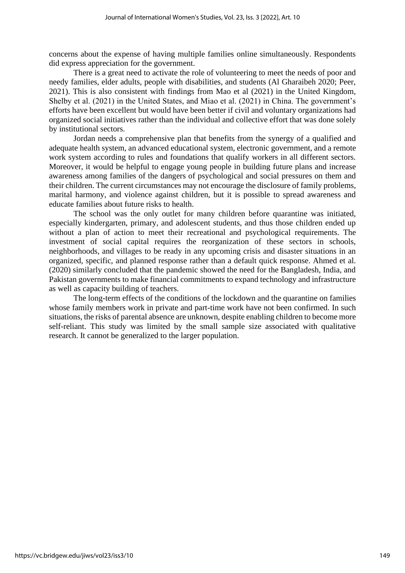concerns about the expense of having multiple families online simultaneously. Respondents did express appreciation for the government.

There is a great need to activate the role of volunteering to meet the needs of poor and needy families, elder adults, people with disabilities, and students (Al Gharaibeh 2020; Peer, 2021). This is also consistent with findings from Mao et al (2021) in the United Kingdom, Shelby et al. (2021) in the United States, and Miao et al. (2021) in China. The government's efforts have been excellent but would have been better if civil and voluntary organizations had organized social initiatives rather than the individual and collective effort that was done solely by institutional sectors.

Jordan needs a comprehensive plan that benefits from the synergy of a qualified and adequate health system, an advanced educational system, electronic government, and a remote work system according to rules and foundations that qualify workers in all different sectors. Moreover, it would be helpful to engage young people in building future plans and increase awareness among families of the dangers of psychological and social pressures on them and their children. The current circumstances may not encourage the disclosure of family problems, marital harmony, and violence against children, but it is possible to spread awareness and educate families about future risks to health.

The school was the only outlet for many children before quarantine was initiated, especially kindergarten, primary, and adolescent students, and thus those children ended up without a plan of action to meet their recreational and psychological requirements. The investment of social capital requires the reorganization of these sectors in schools, neighborhoods, and villages to be ready in any upcoming crisis and disaster situations in an organized, specific, and planned response rather than a default quick response. Ahmed et al. (2020) similarly concluded that the pandemic showed the need for the Bangladesh, India, and Pakistan governments to make financial commitments to expand technology and infrastructure as well as capacity building of teachers.

The long-term effects of the conditions of the lockdown and the quarantine on families whose family members work in private and part-time work have not been confirmed. In such situations, the risks of parental absence are unknown, despite enabling children to become more self-reliant. This study was limited by the small sample size associated with qualitative research. It cannot be generalized to the larger population.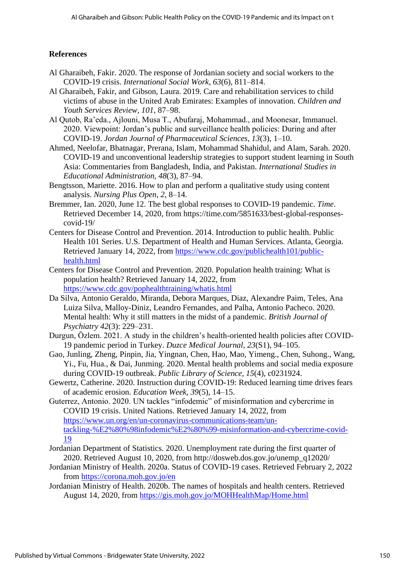## **References**

- Al Gharaibeh, Fakir. 2020. The response of Jordanian society and social workers to the COVID-19 crisis. *International Social Work, 63*(6), 811–814.
- Al Gharaibeh, Fakir, and Gibson, Laura. 2019. Care and rehabilitation services to child victims of abuse in the United Arab Emirates: Examples of innovation. *Children and Youth Services Review, 101*, 87–98.
- Al Qutob, Ra'eda., Ajlouni, Musa T., Abufaraj, Mohammad., and Moonesar, Immanuel. 2020. Viewpoint: Jordan's public and surveillance health policies: During and after COVID-19. *Jordan Journal of Pharmaceutical Sciences, 13*(3), 1–10.
- Ahmed, Neelofar, Bhatnagar, Prerana, Islam, Mohammad Shahidul, and Alam, Sarah. 2020. COVID-19 and unconventional leadership strategies to support student learning in South Asia: Commentaries from Bangladesh, India, and Pakistan. *International Studies in Educational Administration, 48*(3), 87–94.
- Bengtsson, Mariette. 2016. How to plan and perform a qualitative study using content analysis. *Nursing Plus Open, 2*, 8–14.
- Bremmer, Ian. 2020, June 12. The best global responses to COVID-19 pandemic. *Time*. Retrieved December 14, 2020, from https://time.com/5851633/best-global-responsescovid-19/
- Centers for Disease Control and Prevention. 2014. Introduction to public health. Public Health 101 Series. U.S. Department of Health and Human Services. Atlanta, Georgia. Retrieved January 14, 2022, from [https://www.cdc.gov/publichealth101/public](https://www.cdc.gov/publichealth101/public-health.html)[health.html](https://www.cdc.gov/publichealth101/public-health.html)
- Centers for Disease Control and Prevention. 2020. Population health training: What is population health? Retrieved January 14, 2022, from <https://www.cdc.gov/pophealthtraining/whatis.html>
- Da Silva, Antonio Geraldo, Miranda, Debora Marques, Diaz, Alexandre Paim, Teles, Ana Luiza Silva, Malloy-Diniz, Leandro Fernandes, and Palha, Antonio Pacheco. 2020. Mental health: Why it still matters in the midst of a pandemic. *British Journal of Psychiatry 42*(3): 229–231.
- Durgun, Özlem. 2021. A study in the children's health-oriented health policies after COVID-19 pandemic period in Turkey. *Duzce Medical Journal, 23*(S1), 94–105.
- Gao, Junling, Zheng, Pinpin, Jia, Yingnan, Chen, Hao, Mao, Yimeng., Chen, Suhong., Wang, Yi., Fu, Hua., & Dai, Junming. 2020. Mental health problems and social media exposure during COVID-19 outbreak. *Public Library of Science, 15*(4), c0231924.
- Gewertz, Catherine. 2020. Instruction during COVID-19: Reduced learning time drives fears of academic erosion. *Education Week, 39*(5), 14–15.
- Guterrez, Antonio. 2020. UN tackles "infodemic" of misinformation and cybercrime in COVID 19 crisis. United Nations. Retrieved January 14, 2022, from [https://www.un.org/en/un-coronavirus-communications-team/un](https://www.un.org/en/un-coronavirus-communications-team/un-tackling-%E2%80%98infodemic%E2%80%99-misinformation-and-cybercrime-covid-19)[tackling-%E2%80%98infodemic%E2%80%99-misinformation-and-cybercrime-covid-](https://www.un.org/en/un-coronavirus-communications-team/un-tackling-%E2%80%98infodemic%E2%80%99-misinformation-and-cybercrime-covid-19)[19](https://www.un.org/en/un-coronavirus-communications-team/un-tackling-%E2%80%98infodemic%E2%80%99-misinformation-and-cybercrime-covid-19)
- Jordanian Department of Statistics. 2020. Unemployment rate during the first quarter of 2020. Retrieved August 10, 2020, from http://dosweb.dos.gov.jo/unemp\_q12020/
- Jordanian Ministry of Health. 2020a. Status of COVID-19 cases. Retrieved February 2, 2022 from<https://corona.moh.gov.jo/en>
- Jordanian Ministry of Health. 2020b. The names of hospitals and health centers. Retrieved August 14, 2020, from<https://gis.moh.gov.jo/MOHHealthMap/Home.html>